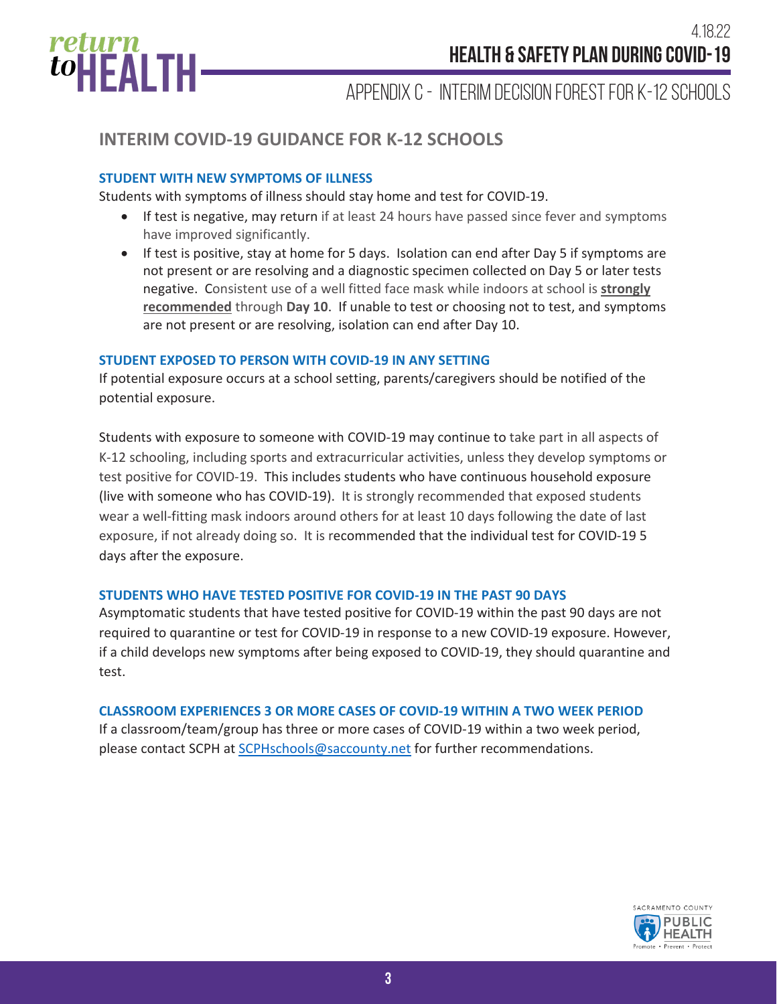

**APRIL 6, 2022**

Appendix C - INTERIM Decision Forest for K-12 Schools

## **INTERIM COVID-19 GUIDANCE FOR K-12 SCHOOLS**

### **STUDENT WITH NEW SYMPTOMS OF ILLNESS**

Students with symptoms of illness should stay home and test for COVID-19.

- If test is negative, may return if at least 24 hours have passed since fever and symptoms have improved significantly.
- If test is positive, stay at home for 5 days. Isolation can end after Day 5 if symptoms are not present or are resolving and a diagnostic specimen collected on Day 5 or later tests negative. Consistent use of a well fitted face mask while indoors at school is **strongly recommended** through **Day 10**. If unable to test or choosing not to test, and symptoms are not present or are resolving, isolation can end after Day 10.

#### **STUDENT EXPOSED TO PERSON WITH COVID-19 IN ANY SETTING**

If potential exposure occurs at a school setting, parents/caregivers should be notified of the potential exposure.

Students with exposure to someone with COVID-19 may continue to take part in all aspects of K-12 schooling, including sports and extracurricular activities, unless they develop symptoms or test positive for COVID-19. This includes students who have continuous household exposure (live with someone who has COVID-19). It is strongly recommended that exposed students wear a well-fitting mask indoors around others for at least 10 days following the date of last exposure, if not already doing so. It is recommended that the individual test for COVID-19 5 days after the exposure.

#### **STUDENTS WHO HAVE TESTED POSITIVE FOR COVID-19 IN THE PAST 90 DAYS**

Asymptomatic students that have tested positive for COVID-19 within the past 90 days are not required to quarantine or test for COVID-19 in response to a new COVID-19 exposure. However, if a child develops new symptoms after being exposed to COVID-19, they should quarantine and test.

#### **CLASSROOM EXPERIENCES 3 OR MORE CASES OF COVID-19 WITHIN A TWO WEEK PERIOD**

If a classroom/team/group has three or more cases of COVID-19 within a two week period, please contact SCPH at SCPHschools@saccounty.net for further recommendations.